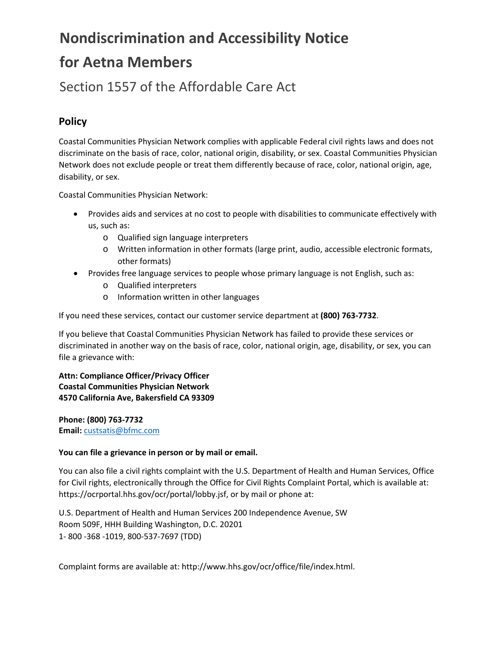# **Nondiscrimination and Accessibility Notice for Aetna Members**

### Section 1557 of the Affordable Care Act

#### **Policy**

Coastal Communities Physician Network complies with applicable Federal civil rights laws and does not discriminate on the basis of race, color, national origin, disability, or sex. Coastal Communities Physician Network does not exclude people or treat them differently because of race, color, national origin, age, disability, or sex.

Coastal Communities Physician Network:

- Provides aids and services at no cost to people with disabilities to communicate effectively with us, such as:
	- o Qualified sign language interpreters
	- o Written information in other formats (large print, audio, accessible electronic formats, other formats)
- Provides free language services to people whose primary language is not English, such as:
	- o Qualified interpreters
	- o Information written in other languages

If you need these services, contact our customer service department at **(800) 763-7732**.

If you believe that Coastal Communities Physician Network has failed to provide these services or discriminated in another way on the basis of race, color, national origin, age, disability, or sex, you can file a grievance with:

**Attn: Compliance Officer/Privacy Officer Coastal Communities Physician Network 4570 California Ave, Bakersfield CA 93309**

**Phone: (800) 763-7732 Email:** [custsatis@bfmc.com](mailto:custsatis@bfmc.com)

#### **You can file a grievance in person or by mail or email.**

You can also file a civil rights complaint with the U.S. Department of Health and Human Services, Office for Civil rights, electronically through the Office for Civil Rights Complaint Portal, which is available at: https://ocrportal.hhs.gov/ocr/portal/lobby.jsf, or by mail or phone at:

U.S. Department of Health and Human Services 200 Independence Avenue, SW Room 509F, HHH Building Washington, D.C. 20201 1- 800 -368 -1019, 800-537-7697 (TDD)

Complaint forms are available at: http://www.hhs.gov/ocr/office/file/index.html.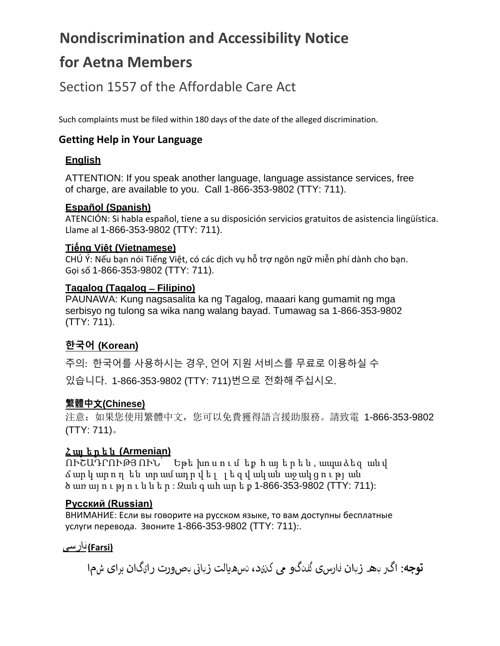# **Nondiscrimination and Accessibility Notice**

# **for Aetna Members**

### Section 1557 of the Affordable Care Act

Such complaints must be filed within 180 days of the date of the alleged discrimination.

### **Getting Help in Your Language**

#### **English**

ATTENTION: If you speak another language, language assistance services, free of charge, are available to you. Call 1-866-353-9802 (TTY: 711).

#### **Español (Spanish)**

ATENCIÓN: Si habla español, tiene a su disposición servicios gratuitos de asistencia lingüística. Llame al 1-866-353-9802 (TTY: 711).

#### **Tiếng Việt (Vietnamese)**

CHÚ Ý: Nếu bạn nói Tiếng Việt, có các dịch vụ hỗ trợ ngôn ngữ miễn phí dành cho bạn. Gọi số 1-866-353-9802 (TTY: 711).

#### **Tagalog (Tagalog ̶Filipino)**

PAUNAWA: Kung nagsasalita ka ng Tagalog, maaari kang gumamit ng mga serbisyo ng tulong sa wika nang walang bayad. Tumawag sa 1-866-353-9802 (TTY: 711).

### **한국어 (Korean)**

주의: 한국어를 사용하시는 경우, 언어 지원 서비스를 무료로 이용하실 수 있습니다. 1-866-353-9802 (TTY: 711)번으로 전화해주십시오.

#### **繁體中**文**(Chinese)**

注意:如果您使用繁體中文,您可以免費獲得語言援助服務。請致電 1-866-353-9802 (TTY: 711)。

#### Հ այ ե ր ե ն **(Armenian)**

ՈՒՇԱԴՐՈՒԹՅ ՈՒՆ՝ Եթե խո ս ո ւ մ եք հ այ ե ր ե ն , ապա ձեզ ան վ ճ ար կ ար ո ղ են տր ամ ադ ր վ ե լ լ ե զ վ ակ ան աջ ակ ց ո ւ թյ ան ծ առ այ ո ւ թյ ո ւ ն ն ե ր : Զան գ ահ ար ե ք 1-866-353-9802 (TTY: 711):

#### **Русский (Russian)**

ВНИМАНИЕ: Если вы говорите на русском языке, то вам доступны бесплатные услуги перевода. Звоните 1-866-353-9802 (TTY: 711):.

#### **(Farsi (**فارسی

نبصورت رایگان برای شما **توجه**: اگر به زبان فارسی گفتگو � کنید، تسه�الت زبای